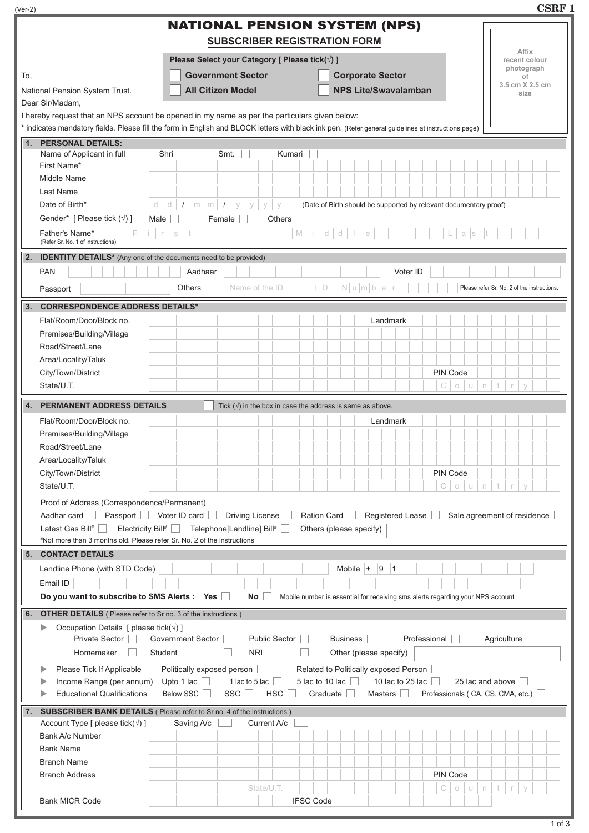| (Ver-2) |                                                                                                                                                                                                | <b>CSRF1</b>                                |
|---------|------------------------------------------------------------------------------------------------------------------------------------------------------------------------------------------------|---------------------------------------------|
|         | <b>NATIONAL PENSION SYSTEM (NPS)</b><br><b>SUBSCRIBER REGISTRATION FORM</b>                                                                                                                    |                                             |
|         | Please Select your Category [ Please tick(√) ]                                                                                                                                                 | Affix<br>recent colour                      |
|         | <b>Government Sector</b><br><b>Corporate Sector</b>                                                                                                                                            | photograph                                  |
| To,     | <b>NPS Lite/Swavalamban</b><br><b>All Citizen Model</b>                                                                                                                                        | οf<br>3.5 cm X 2.5 cm                       |
|         | National Pension System Trust.<br>Dear Sir/Madam,                                                                                                                                              | size                                        |
|         | I hereby request that an NPS account be opened in my name as per the particulars given below:                                                                                                  |                                             |
|         | * indicates mandatory fields. Please fill the form in English and BLOCK letters with black ink pen. (Refer general guidelines at instructions page)                                            |                                             |
|         | 1. PERSONAL DETAILS:                                                                                                                                                                           |                                             |
|         | Name of Applicant in full<br>Kumari<br>Shri<br>Smt.                                                                                                                                            |                                             |
|         | First Name*<br>Middle Name                                                                                                                                                                     |                                             |
|         | Last Name                                                                                                                                                                                      |                                             |
|         | Date of Birth*<br>ď<br>$\sqrt{2}$<br>${\rm m}$<br>$\mathsf{m}$<br>$\sqrt{ }$<br>(Date of Birth should be supported by relevant documentary proof)<br>d<br>$\vee$<br>$\vee$<br>$\vee$<br>$\vee$ |                                             |
|         | Gender* [ Please tick $(\sqrt{})$ ]<br>Male<br>Female  <br>Others                                                                                                                              |                                             |
|         | $M \mid i \mid d \mid d \mid l \mid e$<br>F<br>$i + r$<br>Father's Name*<br>$\mathbb S^-$<br>t<br>L.<br>a s<br>(Refer Sr. No. 1 of instructions)                                               |                                             |
| 2.      | <b>IDENTITY DETAILS*</b> (Any one of the documents need to be provided)                                                                                                                        |                                             |
|         | <b>PAN</b><br>Voter ID<br>Aadhaar                                                                                                                                                              |                                             |
|         | $ I D$ $ N u m b e r$<br>Name of the ID<br>Others<br>Passport                                                                                                                                  | Please refer Sr. No. 2 of the instructions. |
| 3.      | <b>CORRESPONDENCE ADDRESS DETAILS*</b>                                                                                                                                                         |                                             |
|         | Flat/Room/Door/Block no.<br>Landmark                                                                                                                                                           |                                             |
|         | Premises/Building/Village                                                                                                                                                                      |                                             |
|         | Road/Street/Lane                                                                                                                                                                               |                                             |
|         | Area/Locality/Taluk                                                                                                                                                                            |                                             |
|         | PIN Code<br>City/Town/District                                                                                                                                                                 |                                             |
|         | State/U.T.<br>o u n t r<br>C                                                                                                                                                                   | $\vee$                                      |
| 4.      | <b>PERMANENT ADDRESS DETAILS</b><br>Tick $(\sqrt{ } )$ in the box in case the address is same as above.                                                                                        |                                             |
|         | Flat/Room/Door/Block no.<br>Landmark                                                                                                                                                           |                                             |
|         | Premises/Building/Village                                                                                                                                                                      |                                             |
|         | Road/Street/Lane                                                                                                                                                                               |                                             |
|         | Area/Locality/Taluk                                                                                                                                                                            |                                             |
|         | City/Town/District<br>PIN Code                                                                                                                                                                 |                                             |
|         | State/U.T.<br>C<br>$\circlearrowright$<br>$\sqcup$<br>$\mathord{\text{\rm n}}$<br>t                                                                                                            | $\vee$<br>$\mathcal{L}$                     |
|         | Proof of Address (Correspondence/Permanent)                                                                                                                                                    |                                             |
|         | Aadhar card Passport Voter ID card<br>Driving License<br>Ration Card<br>Registered Lease<br>Sale agreement of residence                                                                        |                                             |
|         | Latest Gas Bill# Electricity Bill# Telephone[Landline] Bill# D<br>Others (please specify)<br>#Not more than 3 months old. Please refer Sr. No. 2 of the instructions                           |                                             |
|         | 5. CONTACT DETAILS                                                                                                                                                                             |                                             |
|         | Mobile $ +$<br> 9<br>Landline Phone (with STD Code)<br> 1                                                                                                                                      |                                             |
|         | Email ID                                                                                                                                                                                       |                                             |
|         | Do you want to subscribe to SMS Alerts :<br><b>Yes</b><br>No<br>Mobile number is essential for receiving sms alerts regarding your NPS account                                                 |                                             |
| 6.      | <b>OTHER DETAILS</b> ( Please refer to Sr no. 3 of the instructions )                                                                                                                          |                                             |
|         | Occupation Details [ please tick( $\sqrt{}$ ) ]<br>▶                                                                                                                                           |                                             |
|         | Private Sector<br>Government Sector<br>Public Sector<br>Business    <br>Professional                                                                                                           | Agriculture <b>D</b>                        |
|         | <b>NRI</b><br>Homemaker<br>Student<br>Other (please specify)                                                                                                                                   |                                             |
|         | Politically exposed person<br>Related to Politically exposed Person<br>Please Tick If Applicable                                                                                               |                                             |
|         | 1 lac to 5 lac $\Box$<br>5 lac to 10 lac $\Box$<br>Income Range (per annum)<br>Upto 1 lac $\Box$<br>10 lac to 25 lac $\Box$<br>25 lac and above                                                |                                             |
|         | <b>Educational Qualifications</b><br>Below SSC<br>$SSC$ $\Box$<br>HSC<br>Graduate<br>Masters  <br>Professionals (CA, CS, CMA, etc.) $\Box$                                                     |                                             |
|         | 7. SUBSCRIBER BANK DETAILS (Please refer to Sr no. 4 of the instructions)                                                                                                                      |                                             |
|         | Account Type [ please tick( $\sqrt{ }$ ) ]<br>Saving A/c<br>Current A/c                                                                                                                        |                                             |
|         | Bank A/c Number                                                                                                                                                                                |                                             |
|         | <b>Bank Name</b>                                                                                                                                                                               |                                             |
|         | <b>Branch Name</b><br>PIN Code<br><b>Branch Address</b>                                                                                                                                        |                                             |
|         | State/U.T.<br>t<br>С<br>$\mathsf{U}^-$<br>n<br>$\bigcirc$                                                                                                                                      | $\mathcal{L}$<br>$\vee$                     |
|         | <b>IFSC Code</b><br><b>Bank MICR Code</b>                                                                                                                                                      |                                             |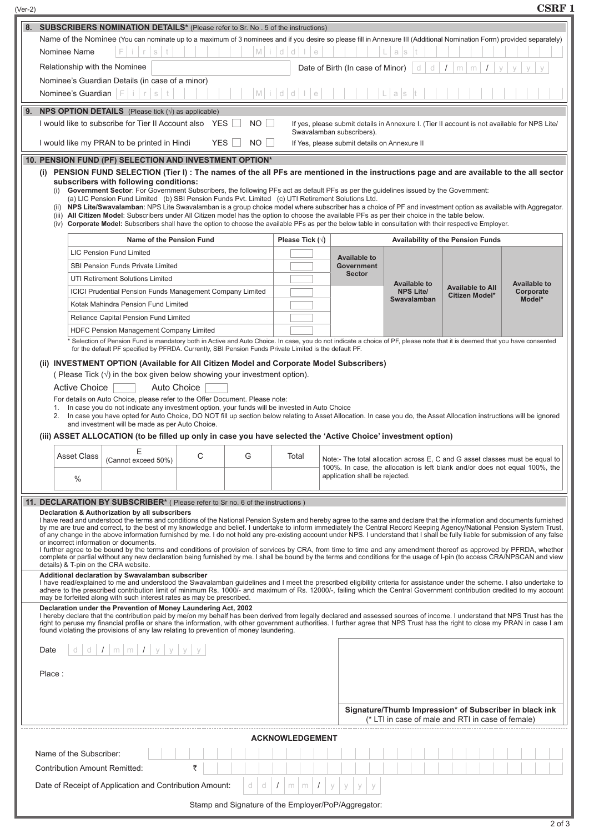| Name of the Nominee (You can nominate up to a maximum of 3 nominees and if you desire so please fill in Annexure III (Additional Nomination Form) provided separately) |                            |                                                                                                                                                                                                                                                                                                                                                                                                                                                                                                                                                                                                                                                                                                                                                                                                                                                                                                                                                                                                                                                                                                                                                                                                                                                                                                                                                                                                                                                                                                                                                                                                                                                                                                                                                                                                                                                                                                                                                                                                                                                                   |             |          |                         |                                                           |                                                               |                                                                                                                                                             |                                            |
|------------------------------------------------------------------------------------------------------------------------------------------------------------------------|----------------------------|-------------------------------------------------------------------------------------------------------------------------------------------------------------------------------------------------------------------------------------------------------------------------------------------------------------------------------------------------------------------------------------------------------------------------------------------------------------------------------------------------------------------------------------------------------------------------------------------------------------------------------------------------------------------------------------------------------------------------------------------------------------------------------------------------------------------------------------------------------------------------------------------------------------------------------------------------------------------------------------------------------------------------------------------------------------------------------------------------------------------------------------------------------------------------------------------------------------------------------------------------------------------------------------------------------------------------------------------------------------------------------------------------------------------------------------------------------------------------------------------------------------------------------------------------------------------------------------------------------------------------------------------------------------------------------------------------------------------------------------------------------------------------------------------------------------------------------------------------------------------------------------------------------------------------------------------------------------------------------------------------------------------------------------------------------------------|-------------|----------|-------------------------|-----------------------------------------------------------|---------------------------------------------------------------|-------------------------------------------------------------------------------------------------------------------------------------------------------------|--------------------------------------------|
| M<br>$\mathbb{C}$<br>d<br>Nominee Name<br>F<br>$\in$<br>$\mathbb S$<br>a<br>S                                                                                          |                            |                                                                                                                                                                                                                                                                                                                                                                                                                                                                                                                                                                                                                                                                                                                                                                                                                                                                                                                                                                                                                                                                                                                                                                                                                                                                                                                                                                                                                                                                                                                                                                                                                                                                                                                                                                                                                                                                                                                                                                                                                                                                   |             |          |                         |                                                           |                                                               |                                                                                                                                                             |                                            |
| Relationship with the Nominee<br>Date of Birth (In case of Minor)<br>d<br>d<br>m.<br>m.                                                                                |                            |                                                                                                                                                                                                                                                                                                                                                                                                                                                                                                                                                                                                                                                                                                                                                                                                                                                                                                                                                                                                                                                                                                                                                                                                                                                                                                                                                                                                                                                                                                                                                                                                                                                                                                                                                                                                                                                                                                                                                                                                                                                                   |             |          |                         |                                                           |                                                               |                                                                                                                                                             |                                            |
| Nominee's Guardian Details (in case of a minor)                                                                                                                        |                            |                                                                                                                                                                                                                                                                                                                                                                                                                                                                                                                                                                                                                                                                                                                                                                                                                                                                                                                                                                                                                                                                                                                                                                                                                                                                                                                                                                                                                                                                                                                                                                                                                                                                                                                                                                                                                                                                                                                                                                                                                                                                   |             |          |                         |                                                           |                                                               |                                                                                                                                                             |                                            |
|                                                                                                                                                                        | Nominee's Guardian Fi      | $s$ t<br>$\Gamma$                                                                                                                                                                                                                                                                                                                                                                                                                                                                                                                                                                                                                                                                                                                                                                                                                                                                                                                                                                                                                                                                                                                                                                                                                                                                                                                                                                                                                                                                                                                                                                                                                                                                                                                                                                                                                                                                                                                                                                                                                                                 |             |          | $M$ idd le              |                                                           | as                                                            |                                                                                                                                                             |                                            |
|                                                                                                                                                                        |                            | <b>NPS OPTION DETAILS</b> (Please tick $(\sqrt{})$ ) as applicable)                                                                                                                                                                                                                                                                                                                                                                                                                                                                                                                                                                                                                                                                                                                                                                                                                                                                                                                                                                                                                                                                                                                                                                                                                                                                                                                                                                                                                                                                                                                                                                                                                                                                                                                                                                                                                                                                                                                                                                                               |             |          |                         |                                                           |                                                               |                                                                                                                                                             |                                            |
|                                                                                                                                                                        |                            | I would like to subscribe for Tier II Account also YES                                                                                                                                                                                                                                                                                                                                                                                                                                                                                                                                                                                                                                                                                                                                                                                                                                                                                                                                                                                                                                                                                                                                                                                                                                                                                                                                                                                                                                                                                                                                                                                                                                                                                                                                                                                                                                                                                                                                                                                                            |             | NO       |                         |                                                           |                                                               | If yes, please submit details in Annexure I. (Tier II account is not available for NPS Lite/                                                                |                                            |
|                                                                                                                                                                        |                            |                                                                                                                                                                                                                                                                                                                                                                                                                                                                                                                                                                                                                                                                                                                                                                                                                                                                                                                                                                                                                                                                                                                                                                                                                                                                                                                                                                                                                                                                                                                                                                                                                                                                                                                                                                                                                                                                                                                                                                                                                                                                   |             |          |                         | Swavalamban subscribers).                                 |                                                               |                                                                                                                                                             |                                            |
|                                                                                                                                                                        |                            | I would like my PRAN to be printed in Hindi                                                                                                                                                                                                                                                                                                                                                                                                                                                                                                                                                                                                                                                                                                                                                                                                                                                                                                                                                                                                                                                                                                                                                                                                                                                                                                                                                                                                                                                                                                                                                                                                                                                                                                                                                                                                                                                                                                                                                                                                                       | <b>YES</b>  | $NO$ $ $ |                         | If Yes, please submit details on Annexure II              |                                                               |                                                                                                                                                             |                                            |
|                                                                                                                                                                        |                            | (i) PENSION FUND SELECTION (Tier I): The names of the all PFs are mentioned in the instructions page and are available to the all sector<br>subscribers with following conditions:<br>(i) Government Sector: For Government Subscribers, the following PFs act as default PFs as per the guidelines issued by the Government:<br>(a) LIC Pension Fund Limited (b) SBI Pension Funds Pvt. Limited (c) UTI Retirement Solutions Ltd.<br>(ii) NPS Lite/Swavalamban: NPS Lite Swavalamban is a group choice model where subscriber has a choice of PF and investment option as available with Aggregator.<br>(iii) All Citizen Model: Subscribers under All Citizen model has the option to choose the available PFs as per their choice in the table below.<br>(iv) Corporate Model: Subscribers shall have the option to choose the available PFs as per the below table in consultation with their respective Employer.<br>Name of the Pension Fund<br><b>LIC Pension Fund Limited</b><br>SBI Pension Funds Private Limited<br>UTI Retirement Solutions Limited<br><b>ICICI Prudential Pension Funds Management Company Limited</b>                                                                                                                                                                                                                                                                                                                                                                                                                                                                                                                                                                                                                                                                                                                                                                                                                                                                                                                                |             |          | Please Tick $(\sqrt{})$ | <b>Available to</b><br><b>Government</b><br><b>Sector</b> | <b>Available to</b><br><b>NPS Lite/</b><br><b>Swavalamban</b> | <b>Availability of the Pension Funds</b><br><b>Available to All</b><br>Citizen Model*                                                                       | <b>Available to</b><br>Corporate<br>Model* |
|                                                                                                                                                                        |                            | Kotak Mahindra Pension Fund Limited                                                                                                                                                                                                                                                                                                                                                                                                                                                                                                                                                                                                                                                                                                                                                                                                                                                                                                                                                                                                                                                                                                                                                                                                                                                                                                                                                                                                                                                                                                                                                                                                                                                                                                                                                                                                                                                                                                                                                                                                                               |             |          |                         |                                                           |                                                               |                                                                                                                                                             |                                            |
|                                                                                                                                                                        |                            | Reliance Capital Pension Fund Limited                                                                                                                                                                                                                                                                                                                                                                                                                                                                                                                                                                                                                                                                                                                                                                                                                                                                                                                                                                                                                                                                                                                                                                                                                                                                                                                                                                                                                                                                                                                                                                                                                                                                                                                                                                                                                                                                                                                                                                                                                             |             |          |                         |                                                           |                                                               |                                                                                                                                                             |                                            |
|                                                                                                                                                                        |                            | HDFC Pension Management Company Limited<br>* Selection of Pension Fund is mandatory both in Active and Auto Choice. In case, you do not indicate a choice of PF, please note that it is deemed that you have consented                                                                                                                                                                                                                                                                                                                                                                                                                                                                                                                                                                                                                                                                                                                                                                                                                                                                                                                                                                                                                                                                                                                                                                                                                                                                                                                                                                                                                                                                                                                                                                                                                                                                                                                                                                                                                                            |             |          |                         |                                                           |                                                               |                                                                                                                                                             |                                            |
|                                                                                                                                                                        | <b>Active Choice</b>       |                                                                                                                                                                                                                                                                                                                                                                                                                                                                                                                                                                                                                                                                                                                                                                                                                                                                                                                                                                                                                                                                                                                                                                                                                                                                                                                                                                                                                                                                                                                                                                                                                                                                                                                                                                                                                                                                                                                                                                                                                                                                   |             |          |                         |                                                           |                                                               |                                                                                                                                                             |                                            |
| 1.<br>2.                                                                                                                                                               |                            | For details on Auto Choice, please refer to the Offer Document. Please note:<br>In case you do not indicate any investment option, your funds will be invested in Auto Choice<br>In case you have opted for Auto Choice, DO NOT fill up section below relating to Asset Allocation. In case you do, the Asset Allocation instructions will be ignored<br>and investment will be made as per Auto Choice.                                                                                                                                                                                                                                                                                                                                                                                                                                                                                                                                                                                                                                                                                                                                                                                                                                                                                                                                                                                                                                                                                                                                                                                                                                                                                                                                                                                                                                                                                                                                                                                                                                                          | Auto Choice |          |                         |                                                           |                                                               |                                                                                                                                                             |                                            |
|                                                                                                                                                                        |                            | (iii) ASSET ALLOCATION (to be filled up only in case you have selected the 'Active Choice' investment option)                                                                                                                                                                                                                                                                                                                                                                                                                                                                                                                                                                                                                                                                                                                                                                                                                                                                                                                                                                                                                                                                                                                                                                                                                                                                                                                                                                                                                                                                                                                                                                                                                                                                                                                                                                                                                                                                                                                                                     |             |          |                         |                                                           |                                                               |                                                                                                                                                             |                                            |
|                                                                                                                                                                        | <b>Asset Class</b><br>$\%$ | (Cannot exceed 50%)<br>11. DECLARATION BY SUBSCRIBER <sup>*</sup> ( Please refer to Sr no. 6 of the instructions )                                                                                                                                                                                                                                                                                                                                                                                                                                                                                                                                                                                                                                                                                                                                                                                                                                                                                                                                                                                                                                                                                                                                                                                                                                                                                                                                                                                                                                                                                                                                                                                                                                                                                                                                                                                                                                                                                                                                                | C           | G        | Total                   | application shall be rejected.                            |                                                               | Note:- The total allocation across E, C and G asset classes must be equal to<br>100%. In case, the allocation is left blank and/or does not equal 100%, the |                                            |
| Date                                                                                                                                                                   | d                          | Declaration & Authorization by all subscribers<br>I have read and understood the terms and conditions of the National Pension System and hereby agree to the same and declare that the information and documents furnished<br>by me are true and correct, to the best of my knowledge and belief. I undertake to inform immediately the Central Record Keeping Agency/National Pension System Trust,<br>of any change in the above information furnished by me. I do not hold any pre-existing account under NPS. I understand that I shall be fully liable for submission of any false<br>or incorrect information or documents.<br>I further agree to be bound by the terms and conditions of provision of services by CRA, from time to time and any amendment thereof as approved by PFRDA, whether<br>complete or partial without any new declaration being furnished by me. I shall be bound by the terms and conditions for the usage of I-pin (to access CRA/NPSCAN and view<br>details) & T-pin on the CRA website.<br>Additional declaration by Swavalamban subscriber<br>I have read/explained to me and understood the Swavalamban guidelines and I meet the prescribed eligibility criteria for assistance under the scheme. I also undertake to<br>adhere to the prescribed contribution limit of minimum Rs. 1000/- and maximum of Rs. 12000/-, failing which the Central Government contribution credited to my account<br>may be forfeited along with such interest rates as may be prescribed.<br>Declaration under the Prevention of Money Laundering Act, 2002<br>I hereby declare that the contribution paid by me/on my behalf has been derived from legally declared and assessed sources of income. I understand that NPS Trust has the<br>right to peruse my financial profile or share the information, with other government authorities. I further agree that NPS Trust has the right to close my PRAN in case I am<br>found violating the provisions of any law relating to prevention of money laundering.<br>d $I$ m m $I$ y y y y |             |          |                         |                                                           |                                                               |                                                                                                                                                             |                                            |
| Place:                                                                                                                                                                 |                            |                                                                                                                                                                                                                                                                                                                                                                                                                                                                                                                                                                                                                                                                                                                                                                                                                                                                                                                                                                                                                                                                                                                                                                                                                                                                                                                                                                                                                                                                                                                                                                                                                                                                                                                                                                                                                                                                                                                                                                                                                                                                   |             |          |                         |                                                           |                                                               | Signature/Thumb Impression* of Subscriber in black ink                                                                                                      |                                            |
|                                                                                                                                                                        |                            |                                                                                                                                                                                                                                                                                                                                                                                                                                                                                                                                                                                                                                                                                                                                                                                                                                                                                                                                                                                                                                                                                                                                                                                                                                                                                                                                                                                                                                                                                                                                                                                                                                                                                                                                                                                                                                                                                                                                                                                                                                                                   |             |          |                         |                                                           |                                                               | (* LTI in case of male and RTI in case of female)                                                                                                           |                                            |
|                                                                                                                                                                        |                            |                                                                                                                                                                                                                                                                                                                                                                                                                                                                                                                                                                                                                                                                                                                                                                                                                                                                                                                                                                                                                                                                                                                                                                                                                                                                                                                                                                                                                                                                                                                                                                                                                                                                                                                                                                                                                                                                                                                                                                                                                                                                   |             |          | <b>ACKNOWLEDGEMENT</b>  |                                                           |                                                               |                                                                                                                                                             |                                            |
|                                                                                                                                                                        | Name of the Subscriber:    |                                                                                                                                                                                                                                                                                                                                                                                                                                                                                                                                                                                                                                                                                                                                                                                                                                                                                                                                                                                                                                                                                                                                                                                                                                                                                                                                                                                                                                                                                                                                                                                                                                                                                                                                                                                                                                                                                                                                                                                                                                                                   |             |          |                         |                                                           |                                                               |                                                                                                                                                             |                                            |
|                                                                                                                                                                        |                            |                                                                                                                                                                                                                                                                                                                                                                                                                                                                                                                                                                                                                                                                                                                                                                                                                                                                                                                                                                                                                                                                                                                                                                                                                                                                                                                                                                                                                                                                                                                                                                                                                                                                                                                                                                                                                                                                                                                                                                                                                                                                   |             |          |                         |                                                           |                                                               |                                                                                                                                                             |                                            |
|                                                                                                                                                                        |                            | <b>Contribution Amount Remitted:</b>                                                                                                                                                                                                                                                                                                                                                                                                                                                                                                                                                                                                                                                                                                                                                                                                                                                                                                                                                                                                                                                                                                                                                                                                                                                                                                                                                                                                                                                                                                                                                                                                                                                                                                                                                                                                                                                                                                                                                                                                                              | ₹           |          |                         |                                                           |                                                               |                                                                                                                                                             |                                            |
|                                                                                                                                                                        |                            | Date of Receipt of Application and Contribution Amount:                                                                                                                                                                                                                                                                                                                                                                                                                                                                                                                                                                                                                                                                                                                                                                                                                                                                                                                                                                                                                                                                                                                                                                                                                                                                                                                                                                                                                                                                                                                                                                                                                                                                                                                                                                                                                                                                                                                                                                                                           |             | d<br>d   | m.<br>m                 |                                                           |                                                               |                                                                                                                                                             |                                            |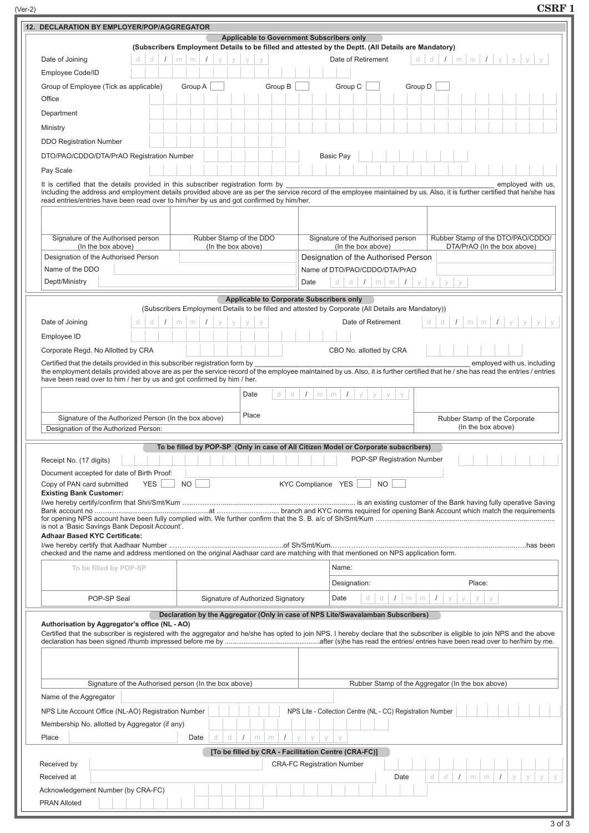|                                                                                                     |                                                                                                      | CSRF 1                                     |  |  |  |  |
|-----------------------------------------------------------------------------------------------------|------------------------------------------------------------------------------------------------------|--------------------------------------------|--|--|--|--|
|                                                                                                     |                                                                                                      |                                            |  |  |  |  |
|                                                                                                     | Applicable to Government Subscribers only                                                            |                                            |  |  |  |  |
| (Subscribers Employment Details to be filled and attested by the Deptt. (All Details are Mandatory) |                                                                                                      |                                            |  |  |  |  |
| Date of Joining                                                                                     | $d d d   I   m   m   I   y   y   y   y$<br>$d/d$ $I$ $m/m$ $I$ $y$ $y$ $y$ $y$<br>Date of Retirement |                                            |  |  |  |  |
| Employee Code/ID                                                                                    |                                                                                                      |                                            |  |  |  |  |
|                                                                                                     | $(Ver-2)$                                                                                            | 12. DECLARATION BY EMPLOYER/POP/AGGREGATOR |  |  |  |  |

| <b>Applicable to Government Subscribers only</b><br>(Subscribers Employment Details to be filled and attested by the Deptt. (All Details are Mandatory) |                                                                                                                                                                                                                                                                                                                                                                                |                                                                                                                                                                                                                 |  |  |  |  |  |
|---------------------------------------------------------------------------------------------------------------------------------------------------------|--------------------------------------------------------------------------------------------------------------------------------------------------------------------------------------------------------------------------------------------------------------------------------------------------------------------------------------------------------------------------------|-----------------------------------------------------------------------------------------------------------------------------------------------------------------------------------------------------------------|--|--|--|--|--|
| Date of Joining<br>d                                                                                                                                    | $\prime$<br>$m \mid m$                                                                                                                                                                                                                                                                                                                                                         | $I \mid m \mid m \mid I \mid y \mid y \mid y$<br>Date of Retirement<br>d<br>d                                                                                                                                   |  |  |  |  |  |
| Employee Code/ID                                                                                                                                        |                                                                                                                                                                                                                                                                                                                                                                                |                                                                                                                                                                                                                 |  |  |  |  |  |
| Group B<br>Group of Employee (Tick as applicable)<br>Group A<br>Group C<br>Group D                                                                      |                                                                                                                                                                                                                                                                                                                                                                                |                                                                                                                                                                                                                 |  |  |  |  |  |
| Office                                                                                                                                                  |                                                                                                                                                                                                                                                                                                                                                                                |                                                                                                                                                                                                                 |  |  |  |  |  |
| Department                                                                                                                                              |                                                                                                                                                                                                                                                                                                                                                                                |                                                                                                                                                                                                                 |  |  |  |  |  |
| Ministry                                                                                                                                                |                                                                                                                                                                                                                                                                                                                                                                                |                                                                                                                                                                                                                 |  |  |  |  |  |
| <b>DDO Registration Number</b>                                                                                                                          |                                                                                                                                                                                                                                                                                                                                                                                |                                                                                                                                                                                                                 |  |  |  |  |  |
| DTO/PAO/CDDO/DTA/PrAO Registration Number                                                                                                               |                                                                                                                                                                                                                                                                                                                                                                                | <b>Basic Pay</b>                                                                                                                                                                                                |  |  |  |  |  |
| Pay Scale                                                                                                                                               |                                                                                                                                                                                                                                                                                                                                                                                |                                                                                                                                                                                                                 |  |  |  |  |  |
|                                                                                                                                                         | It is certified that the details provided in this subscriber registration form by<br>employed with us,<br>including the address and employment details provided above are as per the service record of the employee maintained by us. Also, it is further certified that he/she has<br>read entries/entries have been read over to him/her by us and got confirmed by him/her. |                                                                                                                                                                                                                 |  |  |  |  |  |
| Signature of the Authorised person                                                                                                                      | Rubber Stamp of the DDO                                                                                                                                                                                                                                                                                                                                                        | Signature of the Authorised person<br>Rubber Stamp of the DTO/PAO/CDDO/                                                                                                                                         |  |  |  |  |  |
| (In the box above)                                                                                                                                      | (In the box above)                                                                                                                                                                                                                                                                                                                                                             | DTA/PrAO (In the box above)<br>(In the box above)                                                                                                                                                               |  |  |  |  |  |
| Designation of the Authorised Person                                                                                                                    |                                                                                                                                                                                                                                                                                                                                                                                | Designation of the Authorised Person                                                                                                                                                                            |  |  |  |  |  |
| Name of the DDO<br>Deptt/Ministry                                                                                                                       |                                                                                                                                                                                                                                                                                                                                                                                | Name of DTO/PAO/CDDO/DTA/PrAO<br>d d $I$ m m $I$ y y<br>y<br>$\vee$<br>Date                                                                                                                                     |  |  |  |  |  |
|                                                                                                                                                         |                                                                                                                                                                                                                                                                                                                                                                                |                                                                                                                                                                                                                 |  |  |  |  |  |
|                                                                                                                                                         | Applicable to Corporate Subscribers only                                                                                                                                                                                                                                                                                                                                       | (Subscribers Employment Details to be filled and attested by Corporate (All Details are Mandatory))                                                                                                             |  |  |  |  |  |
| Date of Joining<br>d<br>d                                                                                                                               | $\prime$<br>m<br>m                                                                                                                                                                                                                                                                                                                                                             | $m \mid m \mid I \mid y \mid$<br>Date of Retirement<br>d<br><b>V</b><br>d                                                                                                                                       |  |  |  |  |  |
| Employee ID                                                                                                                                             |                                                                                                                                                                                                                                                                                                                                                                                |                                                                                                                                                                                                                 |  |  |  |  |  |
| Corporate Regd. No Allotted by CRA                                                                                                                      |                                                                                                                                                                                                                                                                                                                                                                                | CBO No. allotted by CRA                                                                                                                                                                                         |  |  |  |  |  |
| Certified that the details provided in this subscriber registration form by<br>have been read over to him / her by us and got confirmed by him / her.   |                                                                                                                                                                                                                                                                                                                                                                                | employed with us, including<br>the employment details provided above are as per the service record of the employee maintained by us. Also, it is further certified that he / she has read the entries / entries |  |  |  |  |  |
|                                                                                                                                                         | Date<br>d<br>d                                                                                                                                                                                                                                                                                                                                                                 | $1 \mid m \mid m \mid 1$<br>V<br>У<br>У                                                                                                                                                                         |  |  |  |  |  |
|                                                                                                                                                         | Place                                                                                                                                                                                                                                                                                                                                                                          |                                                                                                                                                                                                                 |  |  |  |  |  |
| Signature of the Authorized Person (In the box above)<br>Designation of the Authorized Person:                                                          |                                                                                                                                                                                                                                                                                                                                                                                | Rubber Stamp of the Corporate<br>(In the box above)                                                                                                                                                             |  |  |  |  |  |
|                                                                                                                                                         |                                                                                                                                                                                                                                                                                                                                                                                |                                                                                                                                                                                                                 |  |  |  |  |  |
|                                                                                                                                                         | To be filled by POP-SP (Only in case of All Citizen Model or Corporate subscribers)                                                                                                                                                                                                                                                                                            | POP-SP Registration Number                                                                                                                                                                                      |  |  |  |  |  |
| Receipt No. (17 digits)<br>Document accepted for date of Birth Proof:                                                                                   |                                                                                                                                                                                                                                                                                                                                                                                |                                                                                                                                                                                                                 |  |  |  |  |  |
| <b>YES</b><br>Copy of PAN card submitted                                                                                                                | NO.                                                                                                                                                                                                                                                                                                                                                                            | KYC Compliance YES<br>NO.                                                                                                                                                                                       |  |  |  |  |  |
| <b>Existing Bank Customer:</b><br><b>Adhaar Based KYC Certificate:</b>                                                                                  | is not a 'Basic Savings Bank Deposit Account'.<br>checked and the name and address mentioned on the original Aadhaar card are matching with that mentioned on NPS application form.                                                                                                                                                                                            |                                                                                                                                                                                                                 |  |  |  |  |  |
| To be filled by POP-SP                                                                                                                                  |                                                                                                                                                                                                                                                                                                                                                                                | Name:                                                                                                                                                                                                           |  |  |  |  |  |
|                                                                                                                                                         |                                                                                                                                                                                                                                                                                                                                                                                | Place:<br>Designation:                                                                                                                                                                                          |  |  |  |  |  |
| POP-SP Seal                                                                                                                                             | Signature of Authorized Signatory                                                                                                                                                                                                                                                                                                                                              | Date<br>d<br>d<br>$\prime$<br>$m \mid m$<br>$\prime$<br>У<br>y<br>y<br>V                                                                                                                                        |  |  |  |  |  |
| Authorisation by Aggregator's office (NL - AO)                                                                                                          | Declaration by the Aggregator (Only in case of NPS Lite/Swavalamban Subscribers)                                                                                                                                                                                                                                                                                               | Certified that the subscriber is registered with the aggregator and he/she has opted to join NPS. I hereby declare that the subscriber is eligible to join NPS and the above                                    |  |  |  |  |  |
|                                                                                                                                                         | Rubber Stamp of the Aggregator (In the box above)<br>Signature of the Authorised person (In the box above)                                                                                                                                                                                                                                                                     |                                                                                                                                                                                                                 |  |  |  |  |  |
| Name of the Aggregator                                                                                                                                  |                                                                                                                                                                                                                                                                                                                                                                                |                                                                                                                                                                                                                 |  |  |  |  |  |
| NPS Lite - Collection Centre (NL - CC) Registration Number<br>NPS Lite Account Office (NL-AO) Registration Number                                       |                                                                                                                                                                                                                                                                                                                                                                                |                                                                                                                                                                                                                 |  |  |  |  |  |
| Membership No. allotted by Aggregator (if any)                                                                                                          |                                                                                                                                                                                                                                                                                                                                                                                |                                                                                                                                                                                                                 |  |  |  |  |  |
| d<br>Place<br>Date<br>d<br>$\prime$<br>m<br>m<br>y<br>y<br>$\vee$                                                                                       |                                                                                                                                                                                                                                                                                                                                                                                |                                                                                                                                                                                                                 |  |  |  |  |  |
| [To be filled by CRA - Facilitation Centre (CRA-FC)]                                                                                                    |                                                                                                                                                                                                                                                                                                                                                                                |                                                                                                                                                                                                                 |  |  |  |  |  |
| Received by<br>Received at<br>Acknowledgement Number (by CRA-FC)                                                                                        |                                                                                                                                                                                                                                                                                                                                                                                | <b>CRA-FC Registration Number</b><br>d<br>d<br>$\sqrt{ }$<br>Date<br>m<br>m                                                                                                                                     |  |  |  |  |  |
| <b>PRAN Alloted</b>                                                                                                                                     |                                                                                                                                                                                                                                                                                                                                                                                |                                                                                                                                                                                                                 |  |  |  |  |  |